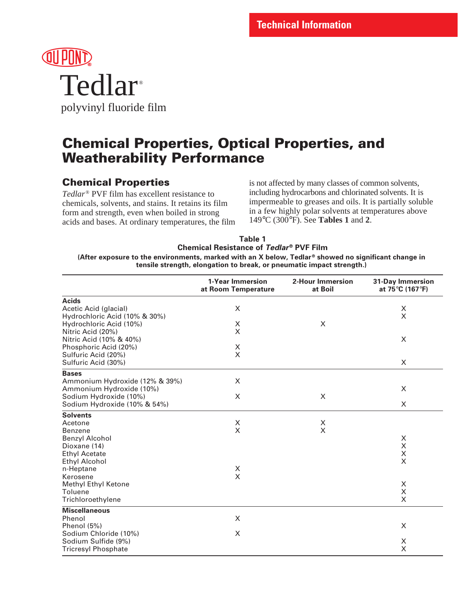

polyvinyl fluoride film

# **Chemical Properties, Optical Properties, and Weatherability Performance**

# **Chemical Properties**

*Tedlar*® PVF film has excellent resistance to chemicals, solvents, and stains. It retains its film form and strength, even when boiled in strong acids and bases. At ordinary temperatures, the film is not affected by many classes of common solvents, including hydrocarbons and chlorinated solvents. It is impermeable to greases and oils. It is partially soluble in a few highly polar solvents at temperatures above 149°C (300°F). See **Tables 1** and **2**.

| Table 1                                                                                                          |
|------------------------------------------------------------------------------------------------------------------|
| <b>Chemical Resistance of Tedlar<sup>®</sup> PVF Film</b>                                                        |
| (After exposure to the environments, marked with an X below, Tedlar <sup>®</sup> showed no significant change in |
| tensile strength, elongation to break, or pneumatic impact strength.)                                            |

|                                | 1-Year Immersion<br>at Room Temperature | 2-Hour Immersion<br>at Boil | <b>31-Day Immersion</b><br>at 75°C (167°F) |
|--------------------------------|-----------------------------------------|-----------------------------|--------------------------------------------|
| <b>Acids</b>                   |                                         |                             |                                            |
| Acetic Acid (glacial)          | X                                       |                             | X                                          |
| Hydrochloric Acid (10% & 30%)  |                                         |                             | X                                          |
| Hydrochloric Acid (10%)        | $\boldsymbol{\times}$                   | X                           |                                            |
| Nitric Acid (20%)              | X                                       |                             |                                            |
| Nitric Acid (10% & 40%)        |                                         |                             | X                                          |
| Phosphoric Acid (20%)          | X                                       |                             |                                            |
| Sulfuric Acid (20%)            | $\times$                                |                             |                                            |
| Sulfuric Acid (30%)            |                                         |                             | $\times$                                   |
| <b>Bases</b>                   |                                         |                             |                                            |
| Ammonium Hydroxide (12% & 39%) | X                                       |                             |                                            |
| Ammonium Hydroxide (10%)       |                                         |                             | X                                          |
| Sodium Hydroxide (10%)         | X                                       | X                           |                                            |
| Sodium Hydroxide (10% & 54%)   |                                         |                             | X                                          |
| <b>Solvents</b>                |                                         |                             |                                            |
| Acetone                        | $\boldsymbol{\mathsf{X}}$               | X                           |                                            |
| <b>Benzene</b>                 | X                                       | X                           |                                            |
| <b>Benzyl Alcohol</b>          |                                         |                             | X                                          |
| Dioxane (14)                   |                                         |                             | X                                          |
| <b>Ethyl Acetate</b>           |                                         |                             | X                                          |
| <b>Ethyl Alcohol</b>           |                                         |                             | X                                          |
| n-Heptane                      | X                                       |                             |                                            |
| Kerosene                       | $\times$                                |                             |                                            |
| Methyl Ethyl Ketone            |                                         |                             | X                                          |
| Toluene                        |                                         |                             | $\pmb{\times}$                             |
| Trichloroethylene              |                                         |                             | X                                          |
| <b>Miscellaneous</b>           |                                         |                             |                                            |
| Phenol                         | X                                       |                             |                                            |
| Phenol (5%)                    |                                         |                             | X                                          |
| Sodium Chloride (10%)          | X                                       |                             |                                            |
| Sodium Sulfide (9%)            |                                         |                             | X                                          |
| <b>Tricresyl Phosphate</b>     |                                         |                             | X                                          |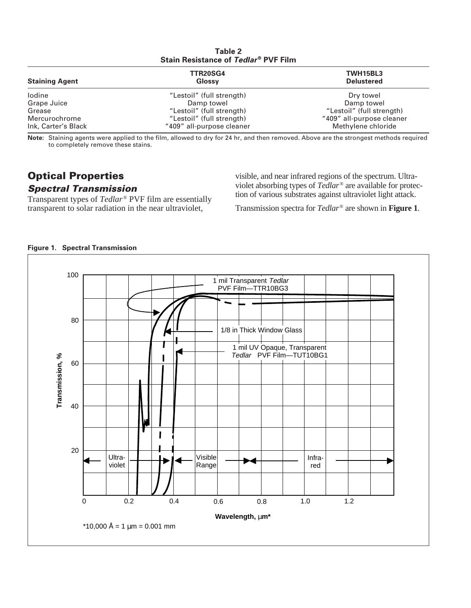| Table 2<br>Stain Resistance of Tedlar <sup>®</sup> PVF Film |                           |                               |  |  |
|-------------------------------------------------------------|---------------------------|-------------------------------|--|--|
| <b>Staining Agent</b>                                       | <b>TTR20SG4</b><br>Glossy | TWH15BL3<br><b>Delustered</b> |  |  |
| lodine                                                      | "Lestoil" (full strength) | Dry towel                     |  |  |
| Grape Juice                                                 | Damp towel                | Damp towel                    |  |  |
| Grease                                                      | "Lestoil" (full strength) | "Lestoil" (full strength)     |  |  |
| Mercurochrome                                               | "Lestoil" (full strength) | "409" all-purpose cleaner     |  |  |
| Ink, Carter's Black                                         | "409" all-purpose cleaner | Methylene chloride            |  |  |

**Note:** Staining agents were applied to the film, allowed to dry for 24 hr, and then removed. Above are the strongest methods required to completely remove these stains.

### **Optical Properties Spectral Transmission**

Transparent types of *Tedlar*<sup>®</sup> PVF film are essentially transparent to solar radiation in the near ultraviolet,

visible, and near infrared regions of the spectrum. Ultraviolet absorbing types of *Tedlar*® are available for protection of various substrates against ultraviolet light attack.

Transmission spectra for *Tedlar*® are shown in **Figure 1**.

### **Figure 1. Spectral Transmission**

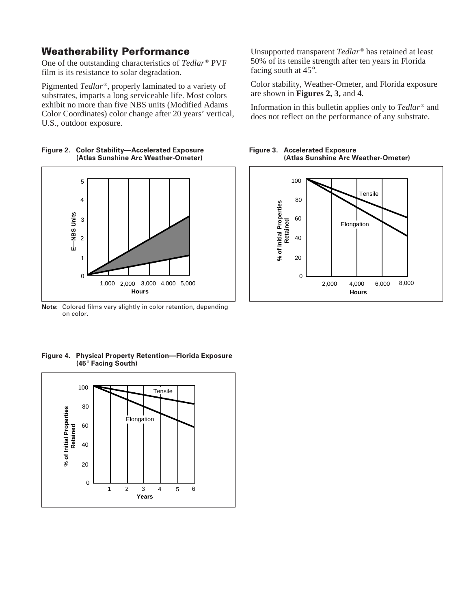### **Weatherability Performance**

One of the outstanding characteristics of *Tedlar*<sup>®</sup> PVF film is its resistance to solar degradation.

Pigmented *Tedlar* ®, properly laminated to a variety of substrates, imparts a long serviceable life. Most colors exhibit no more than five NBS units (Modified Adams Color Coordinates) color change after 20 years' vertical, U.S., outdoor exposure.

**(Atlas Sunshine Arc Weather-Ometer)**

**Figure 2. Color Stability—Accelerated Exposure**



**Note:** Colored films vary slightly in color retention, depending on color.

**Figure 4. Physical Property Retention—Florida Exposure (45**° **Facing South)**



Unsupported transparent *Tedlar*<sup>®</sup> has retained at least 50% of its tensile strength after ten years in Florida facing south at 45°.

Color stability, Weather-Ometer, and Florida exposure are shown in **Figures 2, 3,** and **4**.

Information in this bulletin applies only to *Tedlar*<sup>®</sup> and does not reflect on the performance of any substrate.